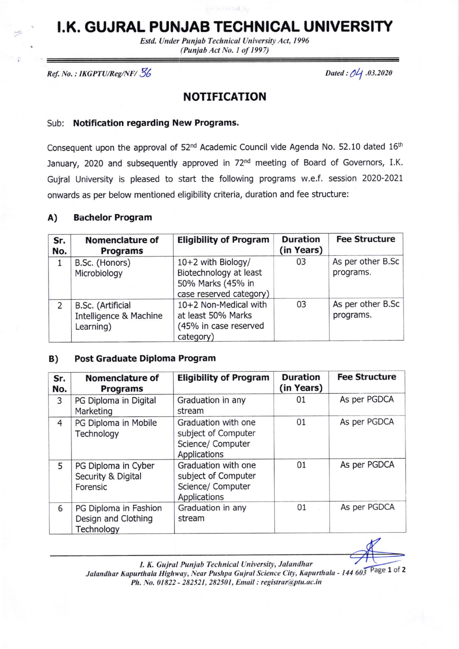## I.K. GUJRAL PUNJAB TECHNICAL UNIVERSITY

Estd. Under Punjab Technical University Act, 1996 (Punjab Act No. I of 1997)

 $Ref. No.: IKGPTU/Reg/NF/ \frac{5}{6}$  Dated : 04 .03.2020

### NOTIFICATION

#### Sub: Notification regarding New Programs.

Consequent upon the approval of 52<sup>nd</sup> Academic Council vide Agenda No. 52.10 dated 16<sup>th</sup> January, 2020 and subsequently approved in 72<sup>nd</sup> meeting of Board of Governors, I.K. Gujral University is pleased to start the following programs w.e.f. session 2020-2021 onwards as per below mentioned eligibility criteria, duration and fee structure:

#### A) Bachelor Program

| Sr.<br>No. | <b>Nomenclature of</b><br><b>Programs</b>                | <b>Eligibility of Program</b>                                                                | <b>Duration</b><br>(in Years) | <b>Fee Structure</b>           |
|------------|----------------------------------------------------------|----------------------------------------------------------------------------------------------|-------------------------------|--------------------------------|
| 1          | B.Sc. (Honors)<br>Microbiology                           | 10+2 with Biology/<br>Biotechnology at least<br>50% Marks (45% in<br>case reserved category) | 03                            | As per other B.Sc<br>programs. |
| 2          | B.Sc. (Artificial<br>Intelligence & Machine<br>Learning) | 10+2 Non-Medical with<br>at least 50% Marks<br>(45% in case reserved<br>category)            | 03                            | As per other B.Sc<br>programs. |

#### B) Post Graduate Diploma Program

| Sr.<br>No.     | <b>Nomenclature of</b><br><b>Programs</b>                  | <b>Eligibility of Program</b>                                                   | <b>Duration</b><br>(in Years) | <b>Fee Structure</b> |
|----------------|------------------------------------------------------------|---------------------------------------------------------------------------------|-------------------------------|----------------------|
| 3              | PG Diploma in Digital<br>Marketing                         | Graduation in any<br>stream                                                     | 01                            | As per PGDCA         |
| $\overline{4}$ | PG Diploma in Mobile<br>Technology                         | Graduation with one<br>subject of Computer<br>Science/ Computer<br>Applications | 01                            | As per PGDCA         |
| 5              | PG Diploma in Cyber<br>Security & Digital<br>Forensic      | Graduation with one<br>subject of Computer<br>Science/ Computer<br>Applications | 01                            | As per PGDCA         |
| 6              | PG Diploma in Fashion<br>Design and Clothing<br>Technology | Graduation in any<br>stream                                                     | 01                            | As per PGDCA         |

I. K. Gujral Punjab Technical University, Jalandhar I. R. Gujral Panjab Technical Chiversity, Salahahar<br>Jalandhar Kapurthala Highway, Near Pushpa Gujral Science City, Kapurthala - 144 603 Page 1 of 2 Ph. No. 01822 - 282521, 282501, Email : registrar@ptu.ac.in